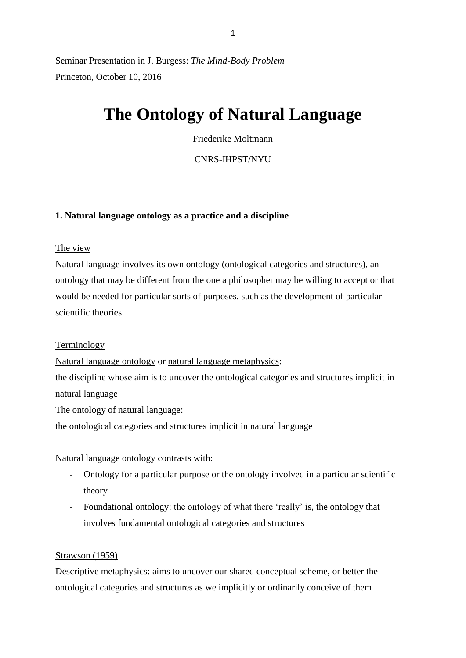Seminar Presentation in J. Burgess: *The Mind-Body Problem* Princeton, October 10, 2016

# **The Ontology of Natural Language**

Friederike Moltmann

CNRS-IHPST/NYU

#### **1. Natural language ontology as a practice and a discipline**

The view

Natural language involves its own ontology (ontological categories and structures), an ontology that may be different from the one a philosopher may be willing to accept or that would be needed for particular sorts of purposes, such as the development of particular scientific theories.

#### **Terminology**

Natural language ontology or natural language metaphysics:

the discipline whose aim is to uncover the ontological categories and structures implicit in natural language

The ontology of natural language:

the ontological categories and structures implicit in natural language

Natural language ontology contrasts with:

- Ontology for a particular purpose or the ontology involved in a particular scientific theory
- Foundational ontology: the ontology of what there 'really' is, the ontology that involves fundamental ontological categories and structures

#### Strawson (1959)

Descriptive metaphysics: aims to uncover our shared conceptual scheme, or better the ontological categories and structures as we implicitly or ordinarily conceive of them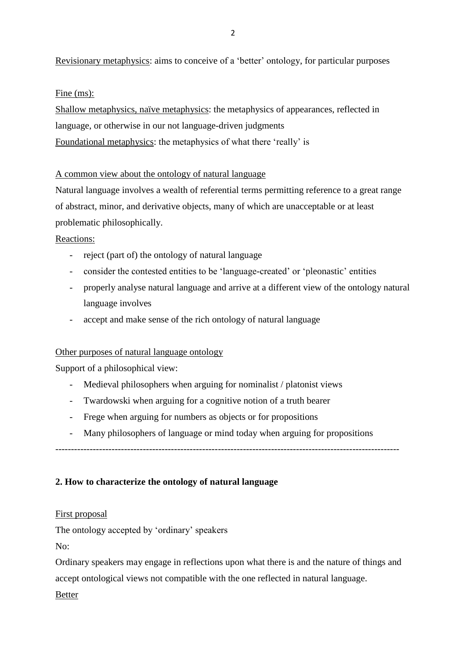Revisionary metaphysics: aims to conceive of a 'better' ontology, for particular purposes

Fine (ms):

Shallow metaphysics, naïve metaphysics: the metaphysics of appearances, reflected in language, or otherwise in our not language-driven judgments Foundational metaphysics: the metaphysics of what there 'really' is

# A common view about the ontology of natural language

Natural language involves a wealth of referential terms permitting reference to a great range of abstract, minor, and derivative objects, many of which are unacceptable or at least problematic philosophically.

# Reactions:

- reject (part of) the ontology of natural language
- consider the contested entities to be 'language-created' or 'pleonastic' entities
- properly analyse natural language and arrive at a different view of the ontology natural language involves
- accept and make sense of the rich ontology of natural language

# Other purposes of natural language ontology

Support of a philosophical view:

- Medieval philosophers when arguing for nominalist / platonist views
- Twardowski when arguing for a cognitive notion of a truth bearer
- Frege when arguing for numbers as objects or for propositions
- Many philosophers of language or mind today when arguing for propositions

--------------------------------------------------------------------------------------------------------------

# **2. How to characterize the ontology of natural language**

# First proposal

The ontology accepted by 'ordinary' speakers

No:

Ordinary speakers may engage in reflections upon what there is and the nature of things and accept ontological views not compatible with the one reflected in natural language.

Better

2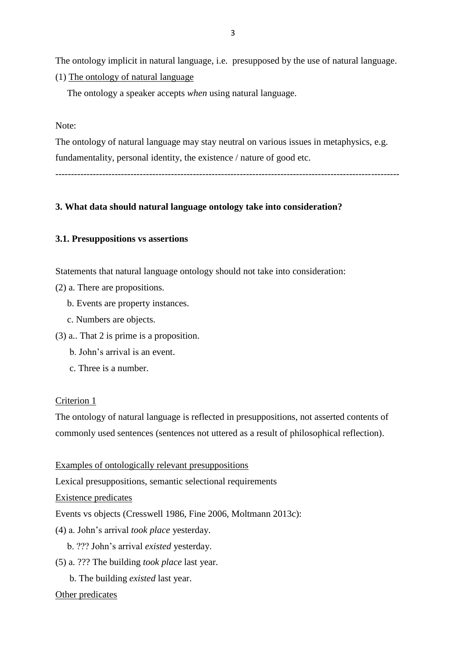The ontology implicit in natural language, i.e. presupposed by the use of natural language.

(1) The ontology of natural language

The ontology a speaker accepts *when* using natural language.

Note:

The ontology of natural language may stay neutral on various issues in metaphysics, e.g. fundamentality, personal identity, the existence / nature of good etc.

--------------------------------------------------------------------------------------------------------------

# **3. What data should natural language ontology take into consideration?**

# **3.1. Presuppositions vs assertions**

Statements that natural language ontology should not take into consideration:

- (2) a. There are propositions.
	- b. Events are property instances.
	- c. Numbers are objects.
- (3) a.. That 2 is prime is a proposition.
	- b. John's arrival is an event.
	- c. Three is a number.

#### Criterion 1

The ontology of natural language is reflected in presuppositions, not asserted contents of commonly used sentences (sentences not uttered as a result of philosophical reflection).

Examples of ontologically relevant presuppositions

Lexical presuppositions, semantic selectional requirements

Existence predicates

Events vs objects (Cresswell 1986, Fine 2006, Moltmann 2013c):

- (4) a. John's arrival *took place* yesterday.
	- b. ??? John's arrival *existed* yesterday.
- (5) a. ??? The building *took place* last year.
	- b. The building *existed* last year.

#### Other predicates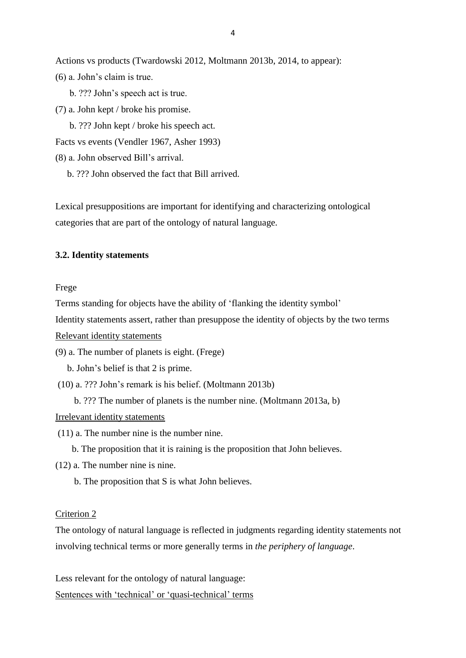Actions vs products (Twardowski 2012, Moltmann 2013b, 2014, to appear):

- (6) a. John's claim is true.
	- b. ??? John's speech act is true.
- (7) a. John kept / broke his promise.

b. ??? John kept / broke his speech act.

Facts vs events (Vendler 1967, Asher 1993)

- (8) a. John observed Bill's arrival.
	- b. ??? John observed the fact that Bill arrived.

Lexical presuppositions are important for identifying and characterizing ontological categories that are part of the ontology of natural language.

#### **3.2. Identity statements**

Frege

Terms standing for objects have the ability of 'flanking the identity symbol'

Identity statements assert, rather than presuppose the identity of objects by the two terms

Relevant identity statements

(9) a. The number of planets is eight. (Frege)

b. John's belief is that 2 is prime.

(10) a. ??? John's remark is his belief. (Moltmann 2013b)

b. ??? The number of planets is the number nine. (Moltmann 2013a, b)

#### Irrelevant identity statements

- (11) a. The number nine is the number nine.
	- b. The proposition that it is raining is the proposition that John believes.
- (12) a. The number nine is nine.

b. The proposition that S is what John believes.

#### Criterion 2

The ontology of natural language is reflected in judgments regarding identity statements not involving technical terms or more generally terms in *the periphery of language*.

Less relevant for the ontology of natural language:

Sentences with 'technical' or 'quasi-technical' terms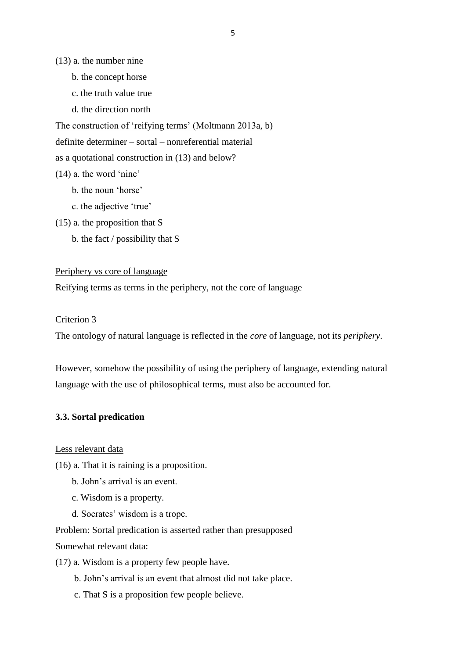(13) a. the number nine

- b. the concept horse
- c. the truth value true
- d. the direction north

The construction of 'reifying terms' (Moltmann 2013a, b)

definite determiner – sortal – nonreferential material

as a quotational construction in (13) and below?

- (14) a. the word 'nine'
	- b. the noun 'horse'
	- c. the adjective 'true'
- (15) a. the proposition that S
	- b. the fact / possibility that S

### Periphery vs core of language

Reifying terms as terms in the periphery, not the core of language

#### Criterion 3

The ontology of natural language is reflected in the *core* of language, not its *periphery*.

However, somehow the possibility of using the periphery of language, extending natural language with the use of philosophical terms, must also be accounted for.

#### **3.3. Sortal predication**

Less relevant data

(16) a. That it is raining is a proposition.

- b. John's arrival is an event.
- c. Wisdom is a property.
- d. Socrates' wisdom is a trope.

Problem: Sortal predication is asserted rather than presupposed Somewhat relevant data:

(17) a. Wisdom is a property few people have.

- b. John's arrival is an event that almost did not take place.
- c. That S is a proposition few people believe.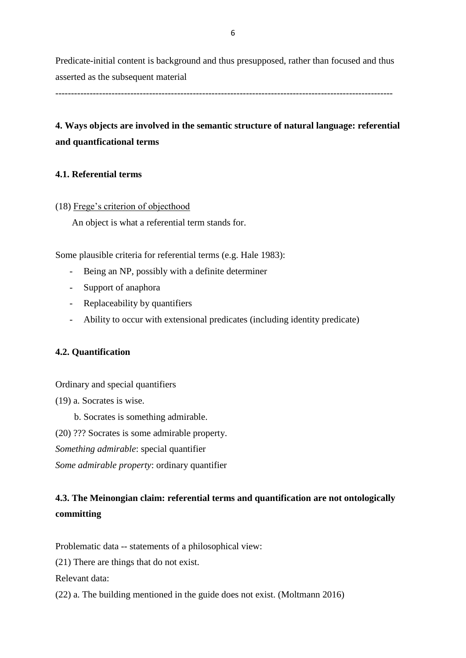Predicate-initial content is background and thus presupposed, rather than focused and thus asserted as the subsequent material

------------------------------------------------------------------------------------------------------------

# **4. Ways objects are involved in the semantic structure of natural language: referential and quantficational terms**

# **4.1. Referential terms**

# (18) Frege's criterion of objecthood

An object is what a referential term stands for.

Some plausible criteria for referential terms (e.g. Hale 1983):

- Being an NP, possibly with a definite determiner
- Support of anaphora
- Replaceability by quantifiers
- Ability to occur with extensional predicates (including identity predicate)

# **4.2. Quantification**

Ordinary and special quantifiers

- (19) a. Socrates is wise.
	- b. Socrates is something admirable.
- (20) ??? Socrates is some admirable property.
- *Something admirable*: special quantifier

*Some admirable property*: ordinary quantifier

# **4.3. The Meinongian claim: referential terms and quantification are not ontologically committing**

Problematic data -- statements of a philosophical view:

(21) There are things that do not exist.

Relevant data:

(22) a. The building mentioned in the guide does not exist. (Moltmann 2016)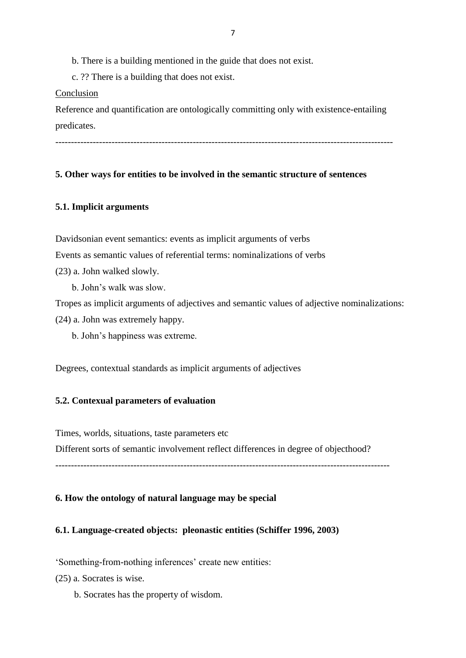b. There is a building mentioned in the guide that does not exist.

c. ?? There is a building that does not exist.

#### Conclusion

Reference and quantification are ontologically committing only with existence-entailing predicates.

# **5. Other ways for entities to be involved in the semantic structure of sentences**

# **5.1. Implicit arguments**

Davidsonian event semantics: events as implicit arguments of verbs

Events as semantic values of referential terms: nominalizations of verbs

- (23) a. John walked slowly.
	- b. John's walk was slow.

Tropes as implicit arguments of adjectives and semantic values of adjective nominalizations:

- (24) a. John was extremely happy.
	- b. John's happiness was extreme.

Degrees, contextual standards as implicit arguments of adjectives

# **5.2. Contexual parameters of evaluation**

Times, worlds, situations, taste parameters etc

Different sorts of semantic involvement reflect differences in degree of objecthood?

-----------------------------------------------------------------------------------------------------------

# **6. How the ontology of natural language may be special**

# **6.1. Language-created objects: pleonastic entities (Schiffer 1996, 2003)**

'Something-from-nothing inferences' create new entities:

(25) a. Socrates is wise.

b. Socrates has the property of wisdom.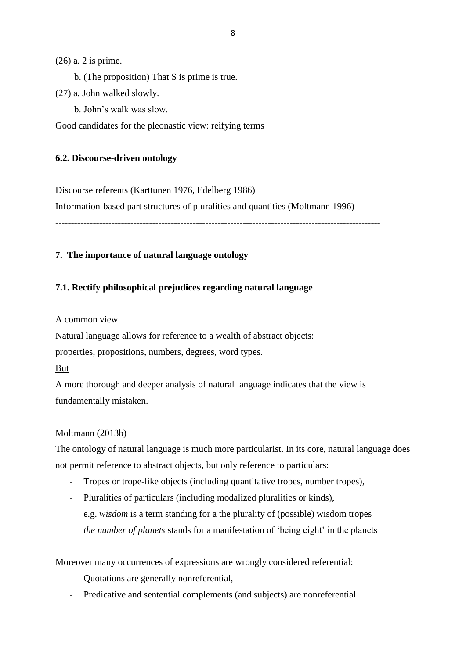(26) a. 2 is prime.

- b. (The proposition) That S is prime is true.
- (27) a. John walked slowly.
	- b. John's walk was slow.

Good candidates for the pleonastic view: reifying terms

# **6.2. Discourse-driven ontology**

Discourse referents (Karttunen 1976, Edelberg 1986)

Information-based part structures of pluralities and quantities (Moltmann 1996)

--------------------------------------------------------------------------------------------------------

# **7. The importance of natural language ontology**

# **7.1. Rectify philosophical prejudices regarding natural language**

# A common view

Natural language allows for reference to a wealth of abstract objects: properties, propositions, numbers, degrees, word types.

# But

A more thorough and deeper analysis of natural language indicates that the view is fundamentally mistaken.

# Moltmann (2013b)

The ontology of natural language is much more particularist. In its core, natural language does not permit reference to abstract objects, but only reference to particulars:

- Tropes or trope-like objects (including quantitative tropes, number tropes),
- Pluralities of particulars (including modalized pluralities or kinds), e.g. *wisdom* is a term standing for a the plurality of (possible) wisdom tropes *the number of planets* stands for a manifestation of 'being eight' in the planets

Moreover many occurrences of expressions are wrongly considered referential:

- Quotations are generally nonreferential,
- Predicative and sentential complements (and subjects) are nonreferential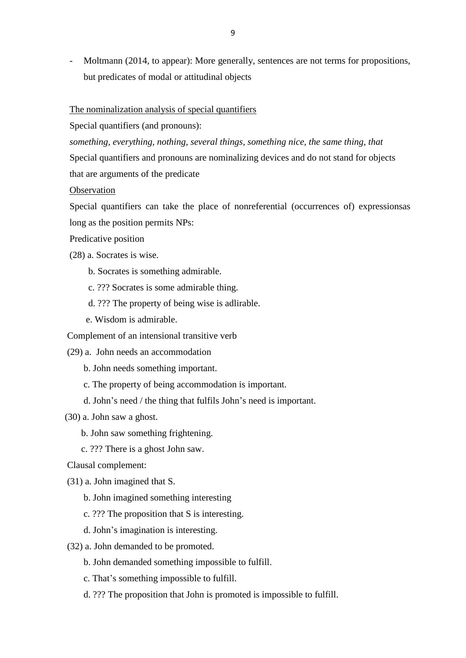Moltmann (2014, to appear): More generally, sentences are not terms for propositions, but predicates of modal or attitudinal objects

#### The nominalization analysis of special quantifiers

Special quantifiers (and pronouns):

*something, everything, nothing, several things, something nice, the same thing, that* Special quantifiers and pronouns are nominalizing devices and do not stand for objects that are arguments of the predicate

#### **Observation**

Special quantifiers can take the place of nonreferential (occurrences of) expressionsas long as the position permits NPs:

Predicative position

- (28) a. Socrates is wise.
	- b. Socrates is something admirable.
	- c. ??? Socrates is some admirable thing.
	- d. ??? The property of being wise is adlirable.
	- e. Wisdom is admirable.

Complement of an intensional transitive verb

- (29) a. John needs an accommodation
	- b. John needs something important.
	- c. The property of being accommodation is important.
	- d. John's need / the thing that fulfils John's need is important.

(30) a. John saw a ghost.

- b. John saw something frightening.
- c. ??? There is a ghost John saw.

Clausal complement:

- (31) a. John imagined that S.
	- b. John imagined something interesting
	- c. ??? The proposition that S is interesting.
	- d. John's imagination is interesting.
- (32) a. John demanded to be promoted.
	- b. John demanded something impossible to fulfill.
	- c. That's something impossible to fulfill.
	- d. ??? The proposition that John is promoted is impossible to fulfill.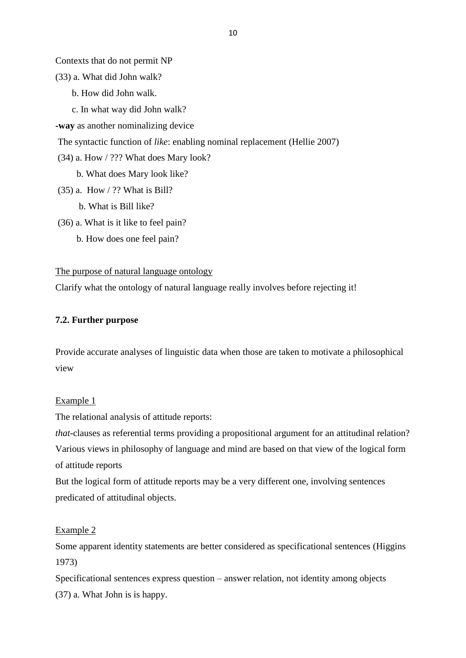Contexts that do not permit NP

(33) a. What did John walk?

- b. How did John walk.
- c. In what way did John walk?

**-way** as another nominalizing device

The syntactic function of *like*: enabling nominal replacement (Hellie 2007)

- (34) a. How / ??? What does Mary look?
	- b. What does Mary look like?
- (35) a. How / ?? What is Bill?
	- b. What is Bill like?
- (36) a. What is it like to feel pain?
	- b. How does one feel pain?

#### The purpose of natural language ontology

Clarify what the ontology of natural language really involves before rejecting it!

#### **7.2. Further purpose**

Provide accurate analyses of linguistic data when those are taken to motivate a philosophical view

#### Example 1

The relational analysis of attitude reports:

*that-*clauses as referential terms providing a propositional argument for an attitudinal relation? Various views in philosophy of language and mind are based on that view of the logical form of attitude reports

But the logical form of attitude reports may be a very different one, involving sentences predicated of attitudinal objects.

#### Example 2

Some apparent identity statements are better considered as specificational sentences (Higgins 1973)

Specificational sentences express question – answer relation, not identity among objects (37) a. What John is is happy.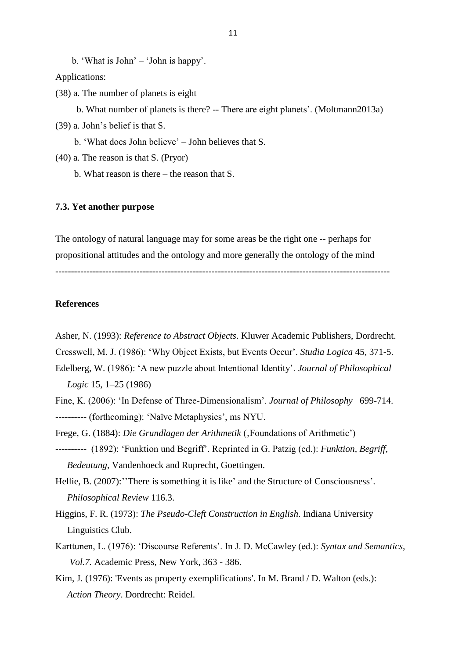b. 'What is John' – 'John is happy'.

Applications:

(38) a. The number of planets is eight

 b. What number of planets is there? -- There are eight planets'. (Moltmann2013a) (39) a. John's belief is that S.

b. 'What does John believe' – John believes that S.

- (40) a. The reason is that S. (Pryor)
	- b. What reason is there the reason that S.

#### **7.3. Yet another purpose**

The ontology of natural language may for some areas be the right one -- perhaps for propositional attitudes and the ontology and more generally the ontology of the mind

-----------------------------------------------------------------------------------------------------------

# **References**

- Asher, N. (1993): *Reference to Abstract Objects*. Kluwer Academic Publishers, Dordrecht.
- Cresswell, M. J. (1986): 'Why Object Exists, but Events Occur'. *Studia Logica* 45, 371-5.
- Edelberg, W. (1986): 'A new puzzle about Intentional Identity'. *Journal of Philosophical Logic* 15, 1–25 (1986)
- Fine, K. (2006): 'In Defense of Three-Dimensionalism'. *Journal of Philosophy* 699-714. ---------- (forthcoming): 'Naïve Metaphysics', ms NYU.
- Frege, G. (1884): *Die Grundlagen der Arithmetik* (, Foundations of Arithmetic')
- ---------- (1892): 'Funktion und Begriff'. Reprinted in G. Patzig (ed.): *Funktion, Begriff, Bedeutung*, Vandenhoeck and Ruprecht, Goettingen.
- Hellie, B. (2007): 'There is something it is like' and the Structure of Consciousness'. *Philosophical Review* 116.3.

Higgins, F. R. (1973): *The Pseudo-Cleft Construction in English*. Indiana University Linguistics Club.

- Karttunen, L. (1976): 'Discourse Referents'. In J. D. McCawley (ed.): *Syntax and Semantics, Vol.7.* Academic Press, New York, 363 - 386.
- Kim, J. (1976): 'Events as property exemplifications'. In M. Brand / D. Walton (eds.): *Action Theory*. Dordrecht: Reidel.